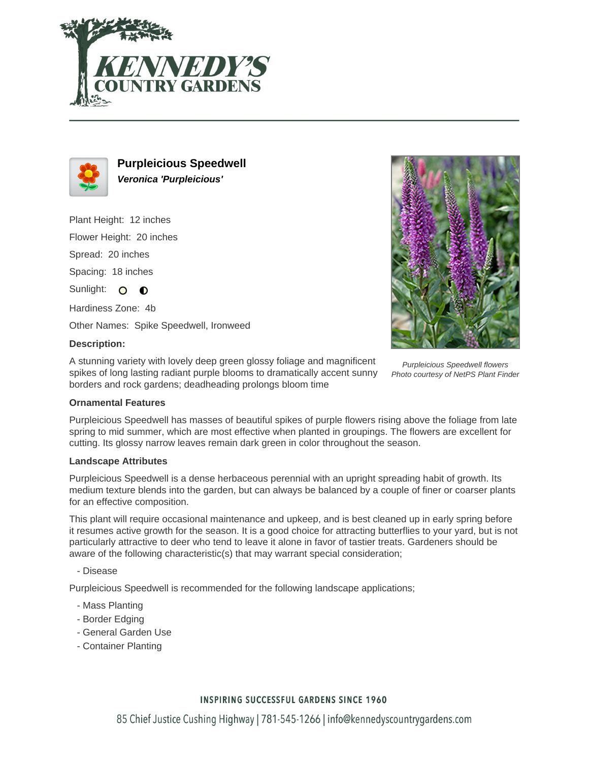



**Purpleicious Speedwell Veronica 'Purpleicious'**

Plant Height: 12 inches Flower Height: 20 inches Spread: 20 inches Spacing: 18 inches Sunlight: O  $\bullet$ Hardiness Zone: 4b Other Names: Spike Speedwell, Ironweed



A stunning variety with lovely deep green glossy foliage and magnificent spikes of long lasting radiant purple blooms to dramatically accent sunny borders and rock gardens; deadheading prolongs bloom time



Purpleicious Speedwell flowers Photo courtesy of NetPS Plant Finder

## **Ornamental Features**

Purpleicious Speedwell has masses of beautiful spikes of purple flowers rising above the foliage from late spring to mid summer, which are most effective when planted in groupings. The flowers are excellent for cutting. Its glossy narrow leaves remain dark green in color throughout the season.

## **Landscape Attributes**

Purpleicious Speedwell is a dense herbaceous perennial with an upright spreading habit of growth. Its medium texture blends into the garden, but can always be balanced by a couple of finer or coarser plants for an effective composition.

This plant will require occasional maintenance and upkeep, and is best cleaned up in early spring before it resumes active growth for the season. It is a good choice for attracting butterflies to your yard, but is not particularly attractive to deer who tend to leave it alone in favor of tastier treats. Gardeners should be aware of the following characteristic(s) that may warrant special consideration;

- Disease

Purpleicious Speedwell is recommended for the following landscape applications;

- Mass Planting
- Border Edging
- General Garden Use
- Container Planting

## **INSPIRING SUCCESSFUL GARDENS SINCE 1960**

85 Chief Justice Cushing Highway | 781-545-1266 | info@kennedyscountrygardens.com